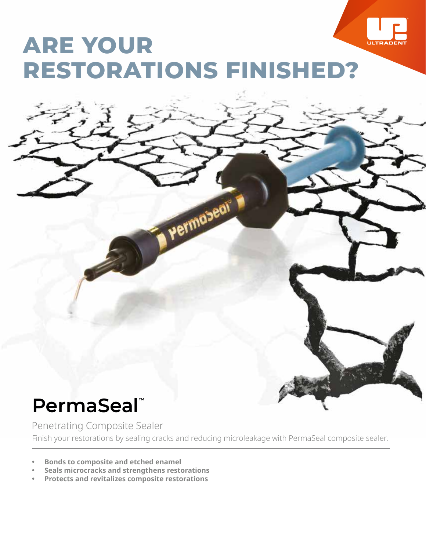

# **ARE YOUR RESTORATIONS FINISHED?**

Permaseal

## **PermaSeal™**

Finish your restorations by sealing cracks and reducing microleakage with PermaSeal composite sealer. Penetrating Composite Sealer

- **• Bonds to composite and etched enamel**
- **• Seals microcracks and strengthens restorations**
- **• Protects and revitalizes composite restorations**